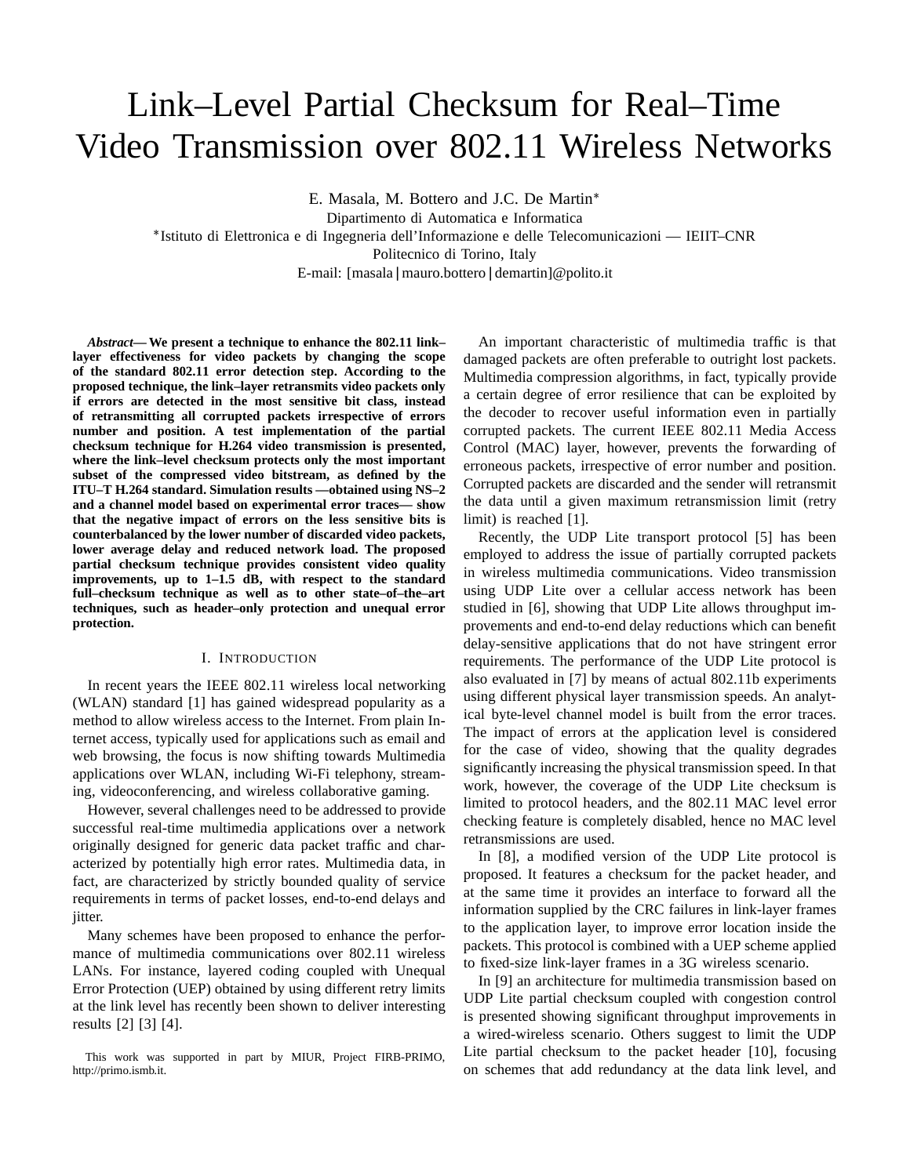# Link–Level Partial Checksum for Real–Time Video Transmission over 802.11 Wireless Networks

E. Masala, M. Bottero and J.C. De Martin

Dipartimento di Automatica e Informatica

Istituto di Elettronica e di Ingegneria dell'Informazione e delle Telecomunicazioni — IEIIT–CNR

Politecnico di Torino, Italy

E-mail: [masala|mauro.bottero|demartin]@polito.it

*Abstract***— We present a technique to enhance the 802.11 link– layer effectiveness for video packets by changing the scope of the standard 802.11 error detection step. According to the proposed technique, the link–layer retransmits video packets only if errors are detected in the most sensitive bit class, instead of retransmitting all corrupted packets irrespective of errors number and position. A test implementation of the partial checksum technique for H.264 video transmission is presented, where the link–level checksum protects only the most important subset of the compressed video bitstream, as defined by the ITU–T H.264 standard. Simulation results —obtained using NS–2 and a channel model based on experimental error traces— show that the negative impact of errors on the less sensitive bits is counterbalanced by the lower number of discarded video packets, lower average delay and reduced network load. The proposed partial checksum technique provides consistent video quality improvements, up to 1–1.5 dB, with respect to the standard full–checksum technique as well as to other state–of–the–art techniques, such as header–only protection and unequal error protection.**

## I. INTRODUCTION

In recent years the IEEE 802.11 wireless local networking (WLAN) standard [1] has gained widespread popularity as a method to allow wireless access to the Internet. From plain Internet access, typically used for applications such as email and web browsing, the focus is now shifting towards Multimedia applications over WLAN, including Wi-Fi telephony, streaming, videoconferencing, and wireless collaborative gaming.

However, several challenges need to be addressed to provide successful real-time multimedia applications over a network originally designed for generic data packet traffic and characterized by potentially high error rates. Multimedia data, in fact, are characterized by strictly bounded quality of service requirements in terms of packet losses, end-to-end delays and jitter.

Many schemes have been proposed to enhance the performance of multimedia communications over 802.11 wireless LANs. For instance, layered coding coupled with Unequal Error Protection (UEP) obtained by using different retry limits at the link level has recently been shown to deliver interesting results [2] [3] [4].

This work was supported in part by MIUR, Project FIRB-PRIMO, http://primo.ismb.it.

An important characteristic of multimedia traffic is that damaged packets are often preferable to outright lost packets. Multimedia compression algorithms, in fact, typically provide a certain degree of error resilience that can be exploited by the decoder to recover useful information even in partially corrupted packets. The current IEEE 802.11 Media Access Control (MAC) layer, however, prevents the forwarding of erroneous packets, irrespective of error number and position. Corrupted packets are discarded and the sender will retransmit the data until a given maximum retransmission limit (retry limit) is reached [1].

Recently, the UDP Lite transport protocol [5] has been employed to address the issue of partially corrupted packets in wireless multimedia communications. Video transmission using UDP Lite over a cellular access network has been studied in [6], showing that UDP Lite allows throughput improvements and end-to-end delay reductions which can benefit delay-sensitive applications that do not have stringent error requirements. The performance of the UDP Lite protocol is also evaluated in [7] by means of actual 802.11b experiments using different physical layer transmission speeds. An analytical byte-level channel model is built from the error traces. The impact of errors at the application level is considered for the case of video, showing that the quality degrades significantly increasing the physical transmission speed. In that work, however, the coverage of the UDP Lite checksum is limited to protocol headers, and the 802.11 MAC level error checking feature is completely disabled, hence no MAC level retransmissions are used.

In [8], a modified version of the UDP Lite protocol is proposed. It features a checksum for the packet header, and at the same time it provides an interface to forward all the information supplied by the CRC failures in link-layer frames to the application layer, to improve error location inside the packets. This protocol is combined with a UEP scheme applied to fixed-size link-layer frames in a 3G wireless scenario.

In [9] an architecture for multimedia transmission based on UDP Lite partial checksum coupled with congestion control is presented showing significant throughput improvements in a wired-wireless scenario. Others suggest to limit the UDP Lite partial checksum to the packet header [10], focusing on schemes that add redundancy at the data link level, and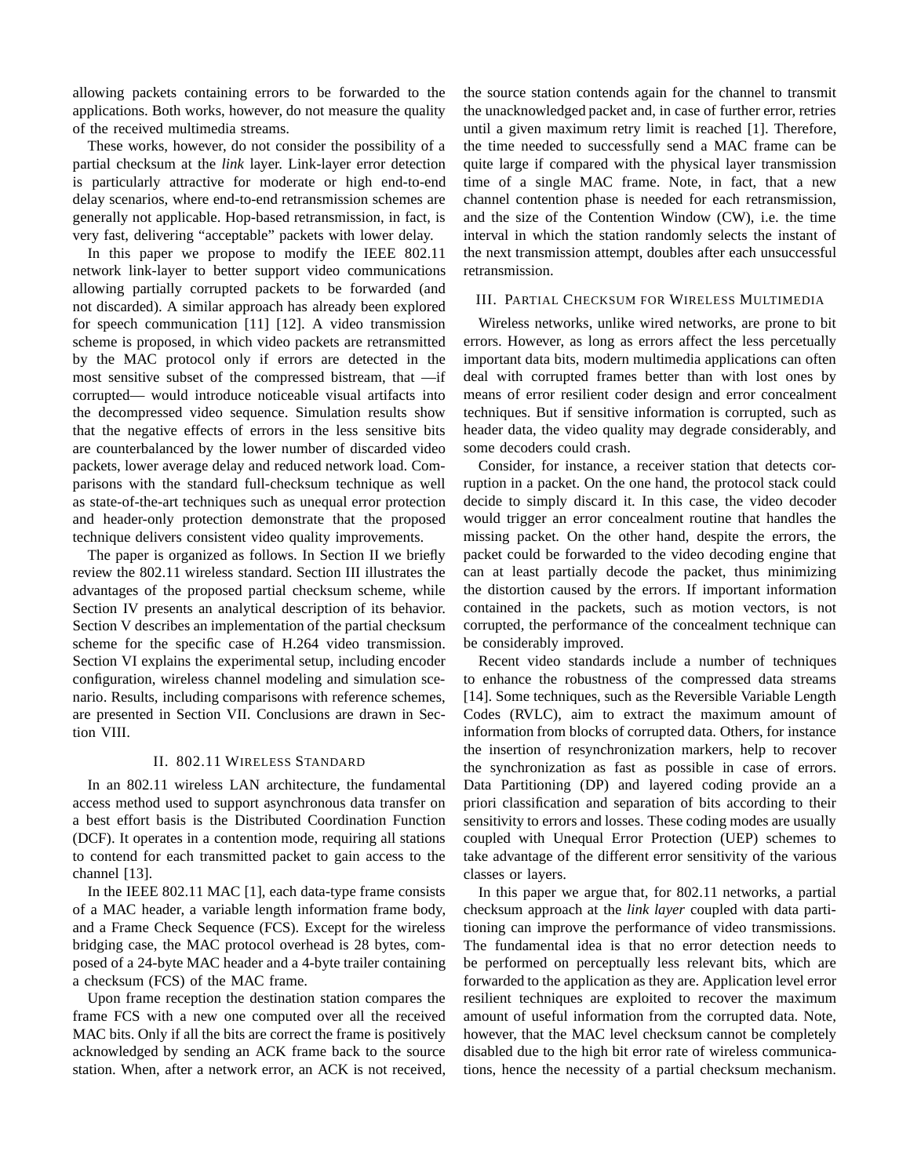allowing packets containing errors to be forwarded to the applications. Both works, however, do not measure the quality of the received multimedia streams.

These works, however, do not consider the possibility of a partial checksum at the *link* layer. Link-layer error detection is particularly attractive for moderate or high end-to-end delay scenarios, where end-to-end retransmission schemes are generally not applicable. Hop-based retransmission, in fact, is very fast, delivering "acceptable" packets with lower delay.

In this paper we propose to modify the IEEE 802.11 network link-layer to better support video communications allowing partially corrupted packets to be forwarded (and not discarded). A similar approach has already been explored for speech communication [11] [12]. A video transmission scheme is proposed, in which video packets are retransmitted by the MAC protocol only if errors are detected in the most sensitive subset of the compressed bistream, that —if corrupted— would introduce noticeable visual artifacts into the decompressed video sequence. Simulation results show that the negative effects of errors in the less sensitive bits are counterbalanced by the lower number of discarded video packets, lower average delay and reduced network load. Comparisons with the standard full-checksum technique as well as state-of-the-art techniques such as unequal error protection and header-only protection demonstrate that the proposed technique delivers consistent video quality improvements.

The paper is organized as follows. In Section II we briefly review the 802.11 wireless standard. Section III illustrates the advantages of the proposed partial checksum scheme, while Section IV presents an analytical description of its behavior. Section V describes an implementation of the partial checksum scheme for the specific case of H.264 video transmission. Section VI explains the experimental setup, including encoder configuration, wireless channel modeling and simulation scenario. Results, including comparisons with reference schemes, are presented in Section VII. Conclusions are drawn in Section VIII.

# II. 802.11 WIRELESS STANDARD

In an 802.11 wireless LAN architecture, the fundamental access method used to support asynchronous data transfer on a best effort basis is the Distributed Coordination Function (DCF). It operates in a contention mode, requiring all stations to contend for each transmitted packet to gain access to the channel [13].

In the IEEE 802.11 MAC [1], each data-type frame consists of a MAC header, a variable length information frame body, and a Frame Check Sequence (FCS). Except for the wireless bridging case, the MAC protocol overhead is 28 bytes, composed of a 24-byte MAC header and a 4-byte trailer containing a checksum (FCS) of the MAC frame.

Upon frame reception the destination station compares the frame FCS with a new one computed over all the received MAC bits. Only if all the bits are correct the frame is positively acknowledged by sending an ACK frame back to the source station. When, after a network error, an ACK is not received, the source station contends again for the channel to transmit the unacknowledged packet and, in case of further error, retries until a given maximum retry limit is reached [1]. Therefore, the time needed to successfully send a MAC frame can be quite large if compared with the physical layer transmission time of a single MAC frame. Note, in fact, that a new channel contention phase is needed for each retransmission, and the size of the Contention Window (CW), i.e. the time interval in which the station randomly selects the instant of the next transmission attempt, doubles after each unsuccessful retransmission.

## III. PARTIAL CHECKSUM FOR WIRELESS MULTIMEDIA

Wireless networks, unlike wired networks, are prone to bit errors. However, as long as errors affect the less percetually important data bits, modern multimedia applications can often deal with corrupted frames better than with lost ones by means of error resilient coder design and error concealment techniques. But if sensitive information is corrupted, such as header data, the video quality may degrade considerably, and some decoders could crash.

Consider, for instance, a receiver station that detects corruption in a packet. On the one hand, the protocol stack could decide to simply discard it. In this case, the video decoder would trigger an error concealment routine that handles the missing packet. On the other hand, despite the errors, the packet could be forwarded to the video decoding engine that can at least partially decode the packet, thus minimizing the distortion caused by the errors. If important information contained in the packets, such as motion vectors, is not corrupted, the performance of the concealment technique can be considerably improved.

Recent video standards include a number of techniques to enhance the robustness of the compressed data streams [14]. Some techniques, such as the Reversible Variable Length Codes (RVLC), aim to extract the maximum amount of information from blocks of corrupted data. Others, for instance the insertion of resynchronization markers, help to recover the synchronization as fast as possible in case of errors. Data Partitioning (DP) and layered coding provide an a priori classification and separation of bits according to their sensitivity to errors and losses. These coding modes are usually coupled with Unequal Error Protection (UEP) schemes to take advantage of the different error sensitivity of the various classes or layers.

In this paper we argue that, for 802.11 networks, a partial checksum approach at the *link layer* coupled with data partitioning can improve the performance of video transmissions. The fundamental idea is that no error detection needs to be performed on perceptually less relevant bits, which are forwarded to the application as they are. Application level error resilient techniques are exploited to recover the maximum amount of useful information from the corrupted data. Note, however, that the MAC level checksum cannot be completely disabled due to the high bit error rate of wireless communications, hence the necessity of a partial checksum mechanism.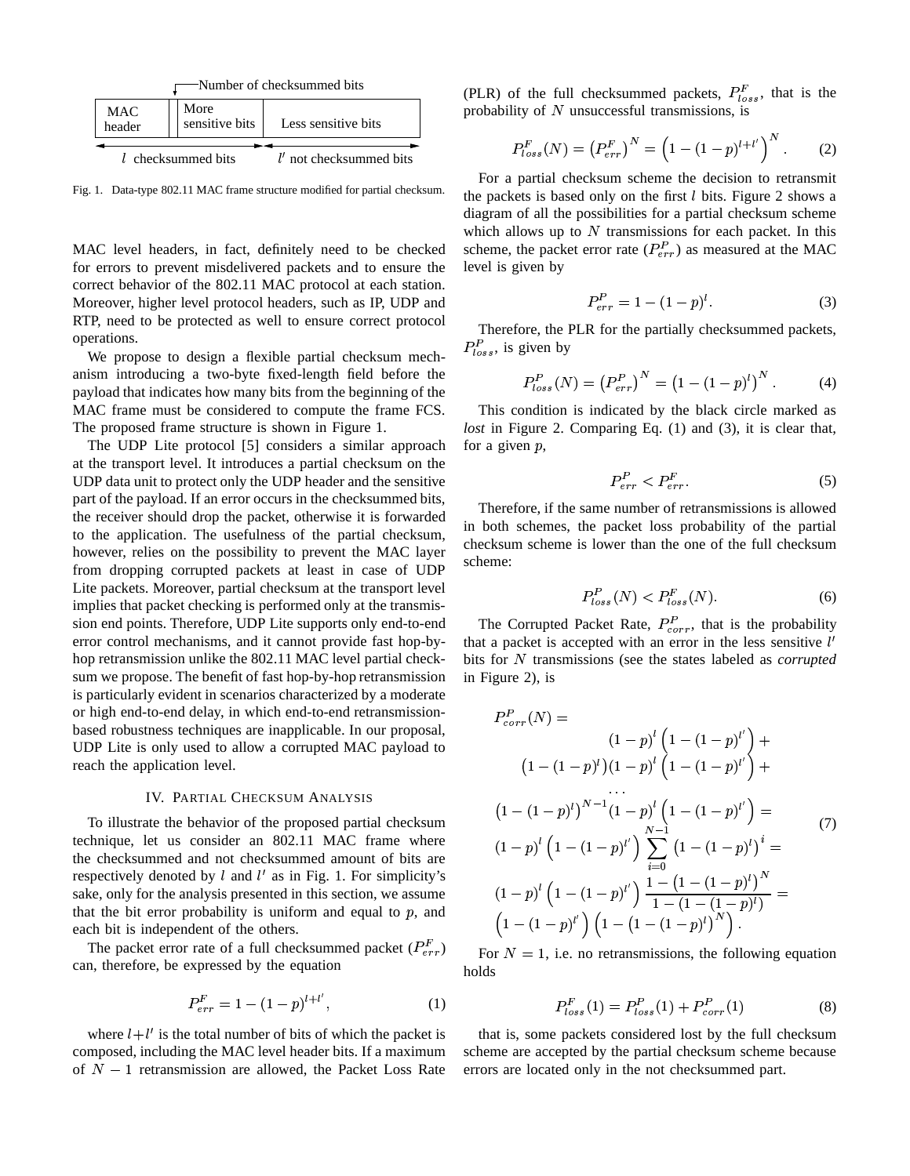

Fig. 1. Data-type 802.11 MAC frame structure modified for partial checksum.

MAC level headers, in fact, definitely need to be checked for errors to prevent misdelivered packets and to ensure the correct behavior of the 802.11 MAC protocol at each station. Moreover, higher level protocol headers, such as IP, UDP and RTP, need to be protected as well to ensure correct protocol operations.

We propose to design a flexible partial checksum mechanism introducing a two-byte fixed-length field before the payload that indicates how many bits from the beginning of the MAC frame must be considered to compute the frame FCS. The proposed frame structure is shown in Figure 1.

The UDP Lite protocol [5] considers a similar approach at the transport level. It introduces a partial checksum on the UDP data unit to protect only the UDP header and the sensitive part of the payload. If an error occurs in the checksummed bits, the receiver should drop the packet, otherwise it is forwarded to the application. The usefulness of the partial checksum, however, relies on the possibility to prevent the MAC layer from dropping corrupted packets at least in case of UDP Lite packets. Moreover, partial checksum at the transport level implies that packet checking is performed only at the transmission end points. Therefore, UDP Lite supports only end-to-end error control mechanisms, and it cannot provide fast hop-byhop retransmission unlike the 802.11 MAC level partial checksum we propose. The benefit of fast hop-by-hop retransmission is particularly evident in scenarios characterized by a moderate or high end-to-end delay, in which end-to-end retransmissionbased robustness techniques are inapplicable. In our proposal, UDP Lite is only used to allow a corrupted MAC payload to reach the application level.

## IV. PARTIAL CHECKSUM ANALYSIS

To illustrate the behavior of the proposed partial checksum technique, let us consider an 802.11 MAC frame where the checksummed and not checksummed amount of bits are respectively denoted by  $l$  and  $l'$  as in Fig. 1. For simplicity's sake, only for the analysis presented in this section, we assume that the bit error probability is uniform and equal to  $p$ , and each bit is independent of the others.

The packet error rate of a full checksummed packet  $(P_{err}^F)$ can, therefore, be expressed by the equation

$$
P_{err}^F = 1 - (1 - p)^{l + l'},\tag{1}
$$

where  $l + l'$  is the total number of bits of which the packet is composed, including the MAC level header bits. If a maximum of  $N - 1$  retransmission are allowed, the Packet Loss Rate (PLR) of the full checksummed packets,  $P_{loss}^F$ , that is the probability of  $N$  unsuccessful transmissions, is

$$
P_{loss}^F(N) = (P_{err}^F)^N = \left(1 - (1 - p)^{l + l'}\right)^N.
$$
 (2)

For a partial checksum scheme the decision to retransmit the packets is based only on the first  $l$  bits. Figure 2 shows a diagram of all the possibilities for a partial checksum scheme which allows up to  $N$  transmissions for each packet. In this scheme, the packet error rate  $(P_{err}^P)$  as measured at the MAC level is given by

$$
P_{err}^P = 1 - (1 - p)^l. \tag{3}
$$

Therefore, the PLR for the partially checksummed packets,  $P_{loss}^P$ , is given by

$$
P_{loss}^P(N) = (P_{err}^P)^N = (1 - (1 - p)^l)^N.
$$
 (4)

This condition is indicated by the black circle marked as *lost* in Figure 2. Comparing Eq. (1) and (3), it is clear that, for a given  $p$ ,

$$
P_{err}^P < P_{err}^F. \tag{5}
$$

Therefore, if the same number of retransmissions is allowed in both schemes, the packet loss probability of the partial checksum scheme is lower than the one of the full checksum scheme:

$$
P_{loss}^P(N) < P_{loss}^F(N). \tag{6}
$$

The Corrupted Packet Rate,  $P_{corr}^P$ , that is the probability that a packet is accepted with an error in the less sensitive  $l'$ bits for N transmissions (see the states labeled as *corrupted* in Figure 2), is

$$
P_{corr}^P(N) =
$$
  
\n
$$
(1-p)^l (1 - (1-p)^l)^l +
$$
  
\n
$$
(1 - (1-p)^l)(1-p)^l (1 - (1-p)^l)^l +
$$
  
\n
$$
\dots
$$
  
\n
$$
(1 - (1-p)^l)^{N-1} (1-p)^l (1 - (1-p)^l)^l =
$$
  
\n
$$
(1-p)^l (1 - (1-p)^l)^l \sum_{i=0}^{N-1} (1 - (1-p)^i)^i =
$$
  
\n
$$
(1-p)^l (1 - (1-p)^l)^l \frac{1 - (1 - (1-p)^l)^N}{1 - (1 - (1-p)^l)^l} =
$$
  
\n
$$
(1 - (1-p)^l)^l (1 - (1 - (1-p)^l)^N).
$$

For  $N = 1$ , i.e. no retransmissions, the following equation holds

$$
P_{loss}^F(1) = P_{loss}^P(1) + P_{corr}^P(1)
$$
 (8)

that is, some packets considered lost by the full checksum scheme are accepted by the partial checksum scheme because errors are located only in the not checksummed part.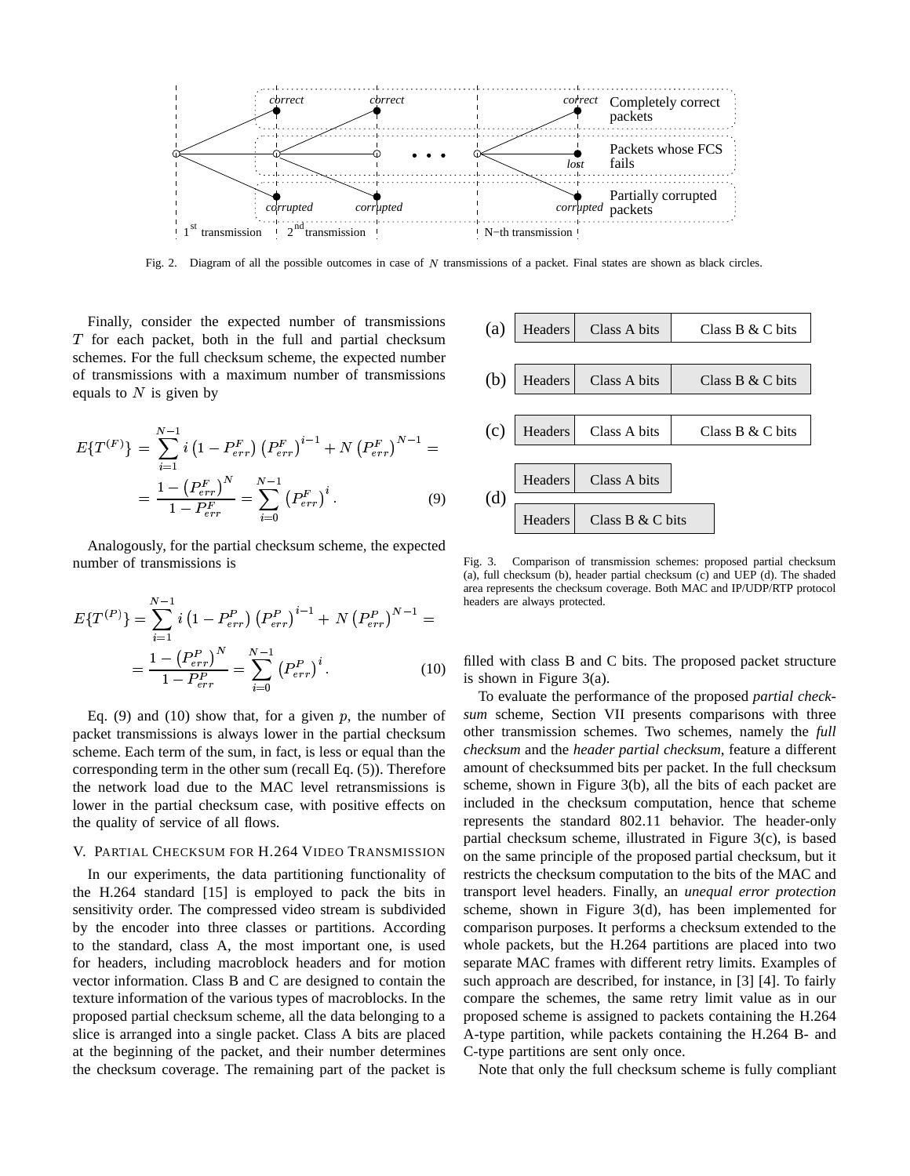

Fig. 2. Diagram of all the possible outcomes in case of N transmissions of a packet. Final states are shown as black circles.

Finally, consider the expected number of transmissions  $T$  for each packet, both in the full and partial checksum schemes. For the full checksum scheme, the expected number of transmissions with a maximum number of transmissions equals to  $N$  is given by

$$
E\{T^{(F)}\} = \sum_{i=1}^{N-1} i \left(1 - P_{err}^F\right) \left(P_{err}^F\right)^{i-1} + N \left(P_{err}^F\right)^{N-1} =
$$
\n
$$
= \frac{1 - \left(P_{err}^F\right)^N}{1 - P_{err}^F} = \sum_{i=0}^{N-1} \left(P_{err}^F\right)^i.
$$
\n(9) (d)

Analogously, for the partial checksum scheme, the expected number of transmissions is

$$
E\{T^{(P)}\} = \sum_{i=1}^{N-1} i \left(1 - P_{err}^P\right) \left(P_{err}^P\right)^{i-1} + N \left(P_{err}^P\right)^{N-1} =
$$

$$
= \frac{1 - \left(P_{err}^P\right)^N}{1 - P_{err}^P} = \sum_{i=0}^{N-1} \left(P_{err}^P\right)^i.
$$
 (10)

Eq. (9) and (10) show that, for a given  $p$ , the number of packet transmissions is always lower in the partial checksum scheme. Each term of the sum, in fact, is less or equal than the corresponding term in the other sum (recall Eq. (5)). Therefore the network load due to the MAC level retransmissions is lower in the partial checksum case, with positive effects on the quality of service of all flows.

## V. PARTIAL CHECKSUM FOR H.264 VIDEO TRANSMISSION

In our experiments, the data partitioning functionality of the H.264 standard [15] is employed to pack the bits in sensitivity order. The compressed video stream is subdivided by the encoder into three classes or partitions. According to the standard, class A, the most important one, is used for headers, including macroblock headers and for motion vector information. Class B and C are designed to contain the texture information of the various types of macroblocks. In the proposed partial checksum scheme, all the data belonging to a slice is arranged into a single packet. Class A bits are placed at the beginning of the packet, and their number determines the checksum coverage. The remaining part of the packet is



Fig. 3. Comparison of transmission schemes: proposed partial checksum (a), full checksum (b), header partial checksum (c) and UEP (d). The shaded area represents the checksum coverage. Both MAC and IP/UDP/RTP protocol headers are always protected.

filled with class B and C bits. The proposed packet structure is shown in Figure 3(a).

To evaluate the performance of the proposed *partial checksum* scheme, Section VII presents comparisons with three other transmission schemes. Two schemes, namely the *full checksum* and the *header partial checksum*, feature a different amount of checksummed bits per packet. In the full checksum scheme, shown in Figure 3(b), all the bits of each packet are included in the checksum computation, hence that scheme represents the standard 802.11 behavior. The header-only partial checksum scheme, illustrated in Figure 3(c), is based on the same principle of the proposed partial checksum, but it restricts the checksum computation to the bits of the MAC and transport level headers. Finally, an *unequal error protection* scheme, shown in Figure 3(d), has been implemented for comparison purposes. It performs a checksum extended to the whole packets, but the H.264 partitions are placed into two separate MAC frames with different retry limits. Examples of such approach are described, for instance, in [3] [4]. To fairly compare the schemes, the same retry limit value as in our proposed scheme is assigned to packets containing the H.264 A-type partition, while packets containing the H.264 B- and C-type partitions are sent only once.

Note that only the full checksum scheme is fully compliant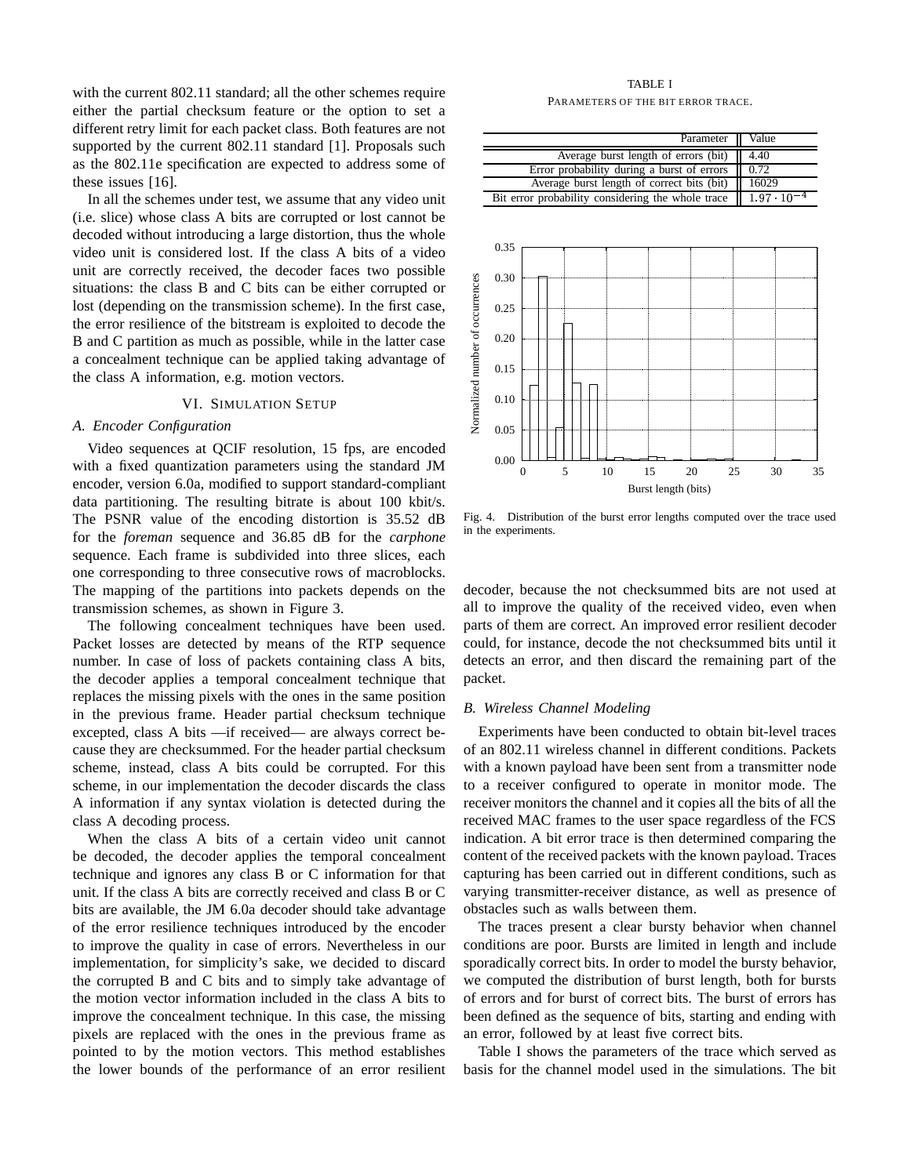with the current 802.11 standard; all the other schemes require either the partial checksum feature or the option to set a different retry limit for each packet class. Both features are not supported by the current 802.11 standard [1]. Proposals such as the 802.11e specification are expected to address some of these issues [16].

In all the schemes under test, we assume that any video unit (i.e. slice) whose class A bits are corrupted or lost cannot be decoded without introducing a large distortion, thus the whole video unit is considered lost. If the class A bits of a video unit are correctly received, the decoder faces two possible situations: the class B and C bits can be either corrupted or lost (depending on the transmission scheme). In the first case, the error resilience of the bitstream is exploited to decode the B and C partition as much as possible, while in the latter case a concealment technique can be applied taking advantage of the class A information, e.g. motion vectors.

# VI. SIMULATION SETUP

# *A. Encoder Configuration*

Video sequences at QCIF resolution, 15 fps, are encoded with a fixed quantization parameters using the standard JM encoder, version 6.0a, modified to support standard-compliant data partitioning. The resulting bitrate is about 100 kbit/s. The PSNR value of the encoding distortion is 35.52 dB for the *foreman* sequence and 36.85 dB for the *carphone* sequence. Each frame is subdivided into three slices, each one corresponding to three consecutive rows of macroblocks. The mapping of the partitions into packets depends on the transmission schemes, as shown in Figure 3.

The following concealment techniques have been used. Packet losses are detected by means of the RTP sequence number. In case of loss of packets containing class A bits, the decoder applies a temporal concealment technique that replaces the missing pixels with the ones in the same position in the previous frame. Header partial checksum technique excepted, class A bits —if received— are always correct because they are checksummed. For the header partial checksum scheme, instead, class A bits could be corrupted. For this scheme, in our implementation the decoder discards the class A information if any syntax violation is detected during the class A decoding process.

When the class A bits of a certain video unit cannot be decoded, the decoder applies the temporal concealment technique and ignores any class B or C information for that unit. If the class A bits are correctly received and class B or C bits are available, the JM 6.0a decoder should take advantage of the error resilience techniques introduced by the encoder to improve the quality in case of errors. Nevertheless in our implementation, for simplicity's sake, we decided to discard the corrupted B and C bits and to simply take advantage of the motion vector information included in the class A bits to improve the concealment technique. In this case, the missing pixels are replaced with the ones in the previous frame as pointed to by the motion vectors. This method establishes the lower bounds of the performance of an error resilient

# TABLE I

PARAMETERS OF THE BIT ERROR TRACE.

|                                  | Parameter                                         |   |    |    |    |    | Value                |    |
|----------------------------------|---------------------------------------------------|---|----|----|----|----|----------------------|----|
|                                  | Average burst length of errors (bit)              |   |    |    |    |    | 4.40                 |    |
|                                  | Error probability during a burst of errors        |   |    |    |    |    | 0.72                 |    |
| Normalized number of occurrences | Average burst length of correct bits (bit)        |   |    |    |    |    | 16029                |    |
|                                  | Bit error probability considering the whole trace |   |    |    |    |    | $1.97 \cdot 10^{-4}$ |    |
|                                  |                                                   |   |    |    |    |    |                      |    |
|                                  | 0.35                                              |   |    |    |    |    |                      |    |
|                                  | 0.30                                              |   |    |    |    |    |                      |    |
|                                  | 0.25                                              |   |    |    |    |    |                      |    |
|                                  | 0.20                                              |   |    |    |    |    |                      |    |
|                                  | 0.15                                              |   |    |    |    |    |                      |    |
|                                  | 0.10                                              |   |    |    |    |    |                      |    |
|                                  | 0.05                                              |   |    |    |    |    |                      |    |
|                                  | 0.00<br>0                                         | 5 | 10 | 15 | 20 | 25 | 30                   | 35 |
|                                  | Burst length (bits)                               |   |    |    |    |    |                      |    |

Fig. 4. Distribution of the burst error lengths computed over the trace used in the experiments.

decoder, because the not checksummed bits are not used at all to improve the quality of the received video, even when parts of them are correct. An improved error resilient decoder could, for instance, decode the not checksummed bits until it detects an error, and then discard the remaining part of the packet.

## *B. Wireless Channel Modeling*

Experiments have been conducted to obtain bit-level traces of an 802.11 wireless channel in different conditions. Packets with a known payload have been sent from a transmitter node to a receiver configured to operate in monitor mode. The receiver monitors the channel and it copies all the bits of all the received MAC frames to the user space regardless of the FCS indication. A bit error trace is then determined comparing the content of the received packets with the known payload. Traces capturing has been carried out in different conditions, such as varying transmitter-receiver distance, as well as presence of obstacles such as walls between them.

The traces present a clear bursty behavior when channel conditions are poor. Bursts are limited in length and include sporadically correct bits. In order to model the bursty behavior, we computed the distribution of burst length, both for bursts of errors and for burst of correct bits. The burst of errors has been defined as the sequence of bits, starting and ending with an error, followed by at least five correct bits.

Table I shows the parameters of the trace which served as basis for the channel model used in the simulations. The bit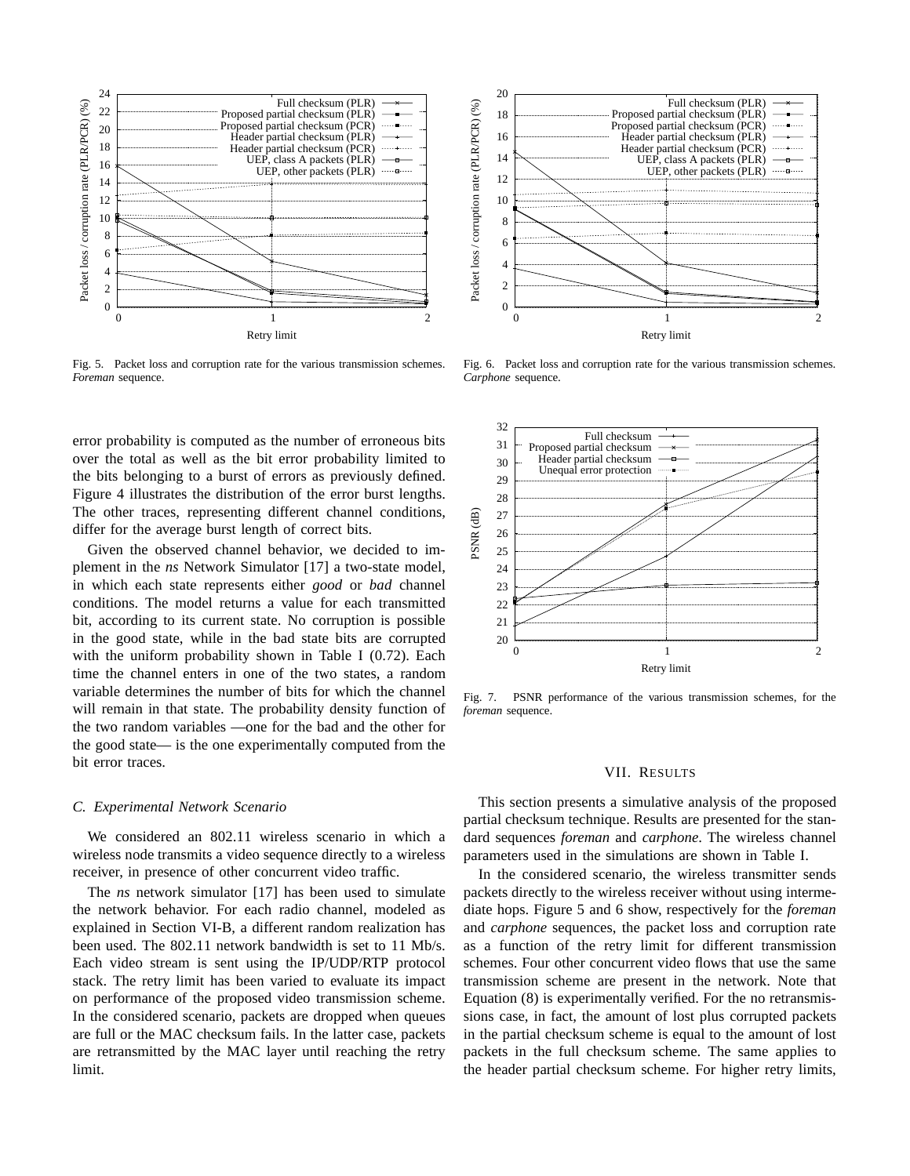

Fig. 5. Packet loss and corruption rate for the various transmission schemes. *Foreman* sequence.

error probability is computed as the number of erroneous bits over the total as well as the bit error probability limited to the bits belonging to a burst of errors as previously defined. Figure 4 illustrates the distribution of the error burst lengths. The other traces, representing different channel conditions, differ for the average burst length of correct bits.

Given the observed channel behavior, we decided to implement in the *ns* Network Simulator [17] a two-state model, in which each state represents either *good* or *bad* channel conditions. The model returns a value for each transmitted bit, according to its current state. No corruption is possible in the good state, while in the bad state bits are corrupted with the uniform probability shown in Table I (0.72). Each time the channel enters in one of the two states, a random variable determines the number of bits for which the channel will remain in that state. The probability density function of the two random variables —one for the bad and the other for the good state— is the one experimentally computed from the bit error traces.

## *C. Experimental Network Scenario*

We considered an 802.11 wireless scenario in which a wireless node transmits a video sequence directly to a wireless receiver, in presence of other concurrent video traffic.

The *ns* network simulator [17] has been used to simulate the network behavior. For each radio channel, modeled as explained in Section VI-B, a different random realization has been used. The 802.11 network bandwidth is set to 11 Mb/s. Each video stream is sent using the IP/UDP/RTP protocol stack. The retry limit has been varied to evaluate its impact on performance of the proposed video transmission scheme. In the considered scenario, packets are dropped when queues are full or the MAC checksum fails. In the latter case, packets are retransmitted by the MAC layer until reaching the retry limit.



Fig. 6. Packet loss and corruption rate for the various transmission schemes. *Carphone* sequence.



Fig. 7. PSNR performance of the various transmission schemes, for the *foreman* sequence.

## VII. RESULTS

This section presents a simulative analysis of the proposed partial checksum technique. Results are presented for the standard sequences *foreman* and *carphone*. The wireless channel parameters used in the simulations are shown in Table I.

In the considered scenario, the wireless transmitter sends packets directly to the wireless receiver without using intermediate hops. Figure 5 and 6 show, respectively for the *foreman* and *carphone* sequences, the packet loss and corruption rate as a function of the retry limit for different transmission schemes. Four other concurrent video flows that use the same transmission scheme are present in the network. Note that Equation (8) is experimentally verified. For the no retransmissions case, in fact, the amount of lost plus corrupted packets in the partial checksum scheme is equal to the amount of lost packets in the full checksum scheme. The same applies to the header partial checksum scheme. For higher retry limits,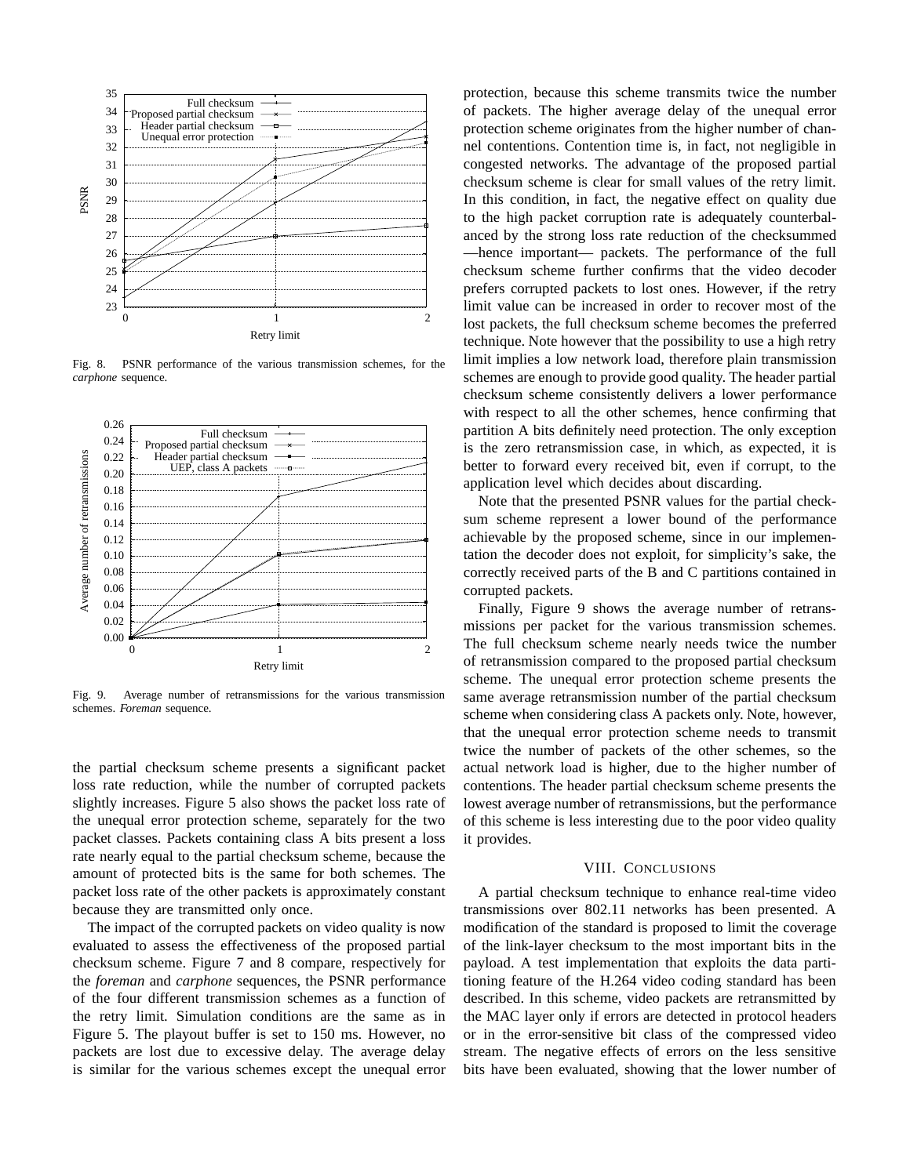

Fig. 8. PSNR performance of the various transmission schemes, for the *carphone* sequence.



Fig. 9. Average number of retransmissions for the various transmission schemes. *Foreman* sequence.

the partial checksum scheme presents a significant packet loss rate reduction, while the number of corrupted packets slightly increases. Figure 5 also shows the packet loss rate of the unequal error protection scheme, separately for the two packet classes. Packets containing class A bits present a loss rate nearly equal to the partial checksum scheme, because the amount of protected bits is the same for both schemes. The packet loss rate of the other packets is approximately constant because they are transmitted only once.

The impact of the corrupted packets on video quality is now evaluated to assess the effectiveness of the proposed partial checksum scheme. Figure 7 and 8 compare, respectively for the *foreman* and *carphone* sequences, the PSNR performance of the four different transmission schemes as a function of the retry limit. Simulation conditions are the same as in Figure 5. The playout buffer is set to 150 ms. However, no packets are lost due to excessive delay. The average delay is similar for the various schemes except the unequal error

protection, because this scheme transmits twice the number of packets. The higher average delay of the unequal error protection scheme originates from the higher number of channel contentions. Contention time is, in fact, not negligible in congested networks. The advantage of the proposed partial checksum scheme is clear for small values of the retry limit. In this condition, in fact, the negative effect on quality due to the high packet corruption rate is adequately counterbalanced by the strong loss rate reduction of the checksummed —hence important— packets. The performance of the full checksum scheme further confirms that the video decoder prefers corrupted packets to lost ones. However, if the retry limit value can be increased in order to recover most of the lost packets, the full checksum scheme becomes the preferred technique. Note however that the possibility to use a high retry limit implies a low network load, therefore plain transmission schemes are enough to provide good quality. The header partial checksum scheme consistently delivers a lower performance with respect to all the other schemes, hence confirming that partition A bits definitely need protection. The only exception is the zero retransmission case, in which, as expected, it is better to forward every received bit, even if corrupt, to the application level which decides about discarding.

Note that the presented PSNR values for the partial checksum scheme represent a lower bound of the performance achievable by the proposed scheme, since in our implementation the decoder does not exploit, for simplicity's sake, the correctly received parts of the B and C partitions contained in corrupted packets.

Finally, Figure 9 shows the average number of retransmissions per packet for the various transmission schemes. The full checksum scheme nearly needs twice the number of retransmission compared to the proposed partial checksum scheme. The unequal error protection scheme presents the same average retransmission number of the partial checksum scheme when considering class A packets only. Note, however, that the unequal error protection scheme needs to transmit twice the number of packets of the other schemes, so the actual network load is higher, due to the higher number of contentions. The header partial checksum scheme presents the lowest average number of retransmissions, but the performance of this scheme is less interesting due to the poor video quality it provides.

## VIII. CONCLUSIONS

A partial checksum technique to enhance real-time video transmissions over 802.11 networks has been presented. A modification of the standard is proposed to limit the coverage of the link-layer checksum to the most important bits in the payload. A test implementation that exploits the data partitioning feature of the H.264 video coding standard has been described. In this scheme, video packets are retransmitted by the MAC layer only if errors are detected in protocol headers or in the error-sensitive bit class of the compressed video stream. The negative effects of errors on the less sensitive bits have been evaluated, showing that the lower number of